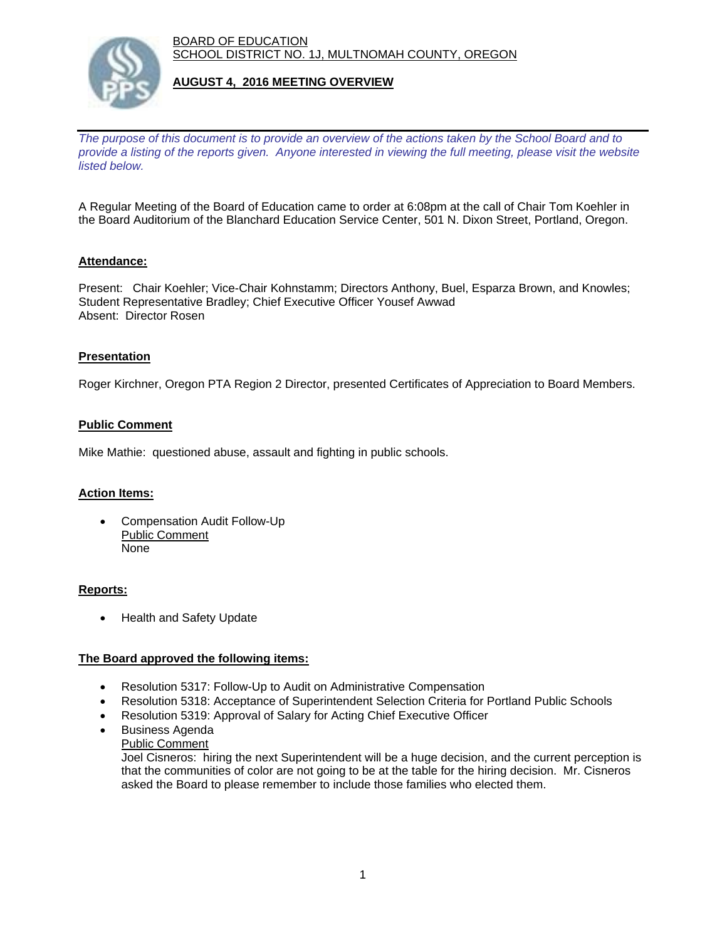BOARD OF EDUCATION SCHOOL DISTRICT NO. 1J, MULTNOMAH COUNTY, OREGON



## **AUGUST 4, 2016 MEETING OVERVIEW**

*The purpose of this document is to provide an overview of the actions taken by the School Board and to provide a listing of the reports given. Anyone interested in viewing the full meeting, please visit the website listed below.*

A Regular Meeting of the Board of Education came to order at 6:08pm at the call of Chair Tom Koehler in the Board Auditorium of the Blanchard Education Service Center, 501 N. Dixon Street, Portland, Oregon.

## **Attendance:**

Present: Chair Koehler; Vice-Chair Kohnstamm; Directors Anthony, Buel, Esparza Brown, and Knowles; Student Representative Bradley; Chief Executive Officer Yousef Awwad Absent: Director Rosen

## **Presentation**

Roger Kirchner, Oregon PTA Region 2 Director, presented Certificates of Appreciation to Board Members.

## **Public Comment**

Mike Mathie: questioned abuse, assault and fighting in public schools.

### **Action Items:**

 Compensation Audit Follow-Up Public Comment None

### **Reports:**

• Health and Safety Update

## **The Board approved the following items:**

- Resolution 5317: Follow-Up to Audit on Administrative Compensation
- Resolution 5318: Acceptance of Superintendent Selection Criteria for Portland Public Schools
- Resolution 5319: Approval of Salary for Acting Chief Executive Officer
- Business Agenda
	- Public Comment

Joel Cisneros: hiring the next Superintendent will be a huge decision, and the current perception is that the communities of color are not going to be at the table for the hiring decision. Mr. Cisneros asked the Board to please remember to include those families who elected them.